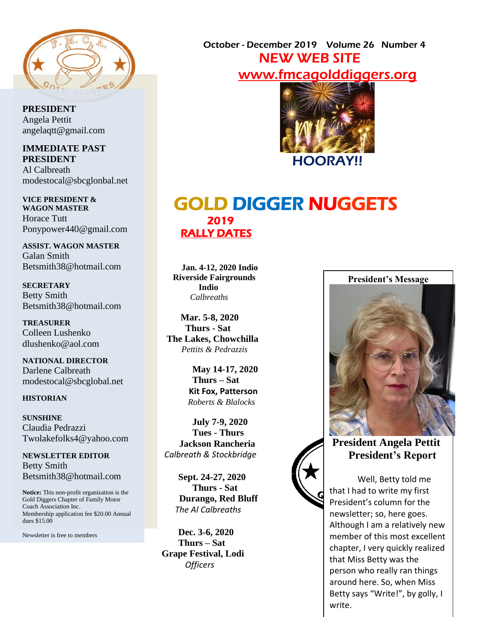

**PRESIDENT** Angela Pettit angelaqtt@gmail.com

**IMMEDIATE PAST PRESIDENT** Al Calbreath modestocal@sbcglonbal.net

**VICE PRESIDENT & WAGON MASTER** Horace Tutt Ponypower440@gmail.com

**ASSIST. WAGON MASTER** Galan Smith Betsmith38@hotmail.com

**SECRETARY** Betty Smith Betsmith38@hotmail.com

**TREASURER** Colleen Lushenko dlushenko@aol.com

**NATIONAL DIRECTOR** Darlene Calbreath modestocal@sbcglobal.net

#### **HISTORIAN**

**SUNSHINE** Claudia Pedrazzi Twolakefolks4@yahoo.com

**NEWSLETTER EDITOR** Betty Smith Betsmith38@hotmail.com

**Notice:** This non-profit organization is the Gold Diggers Chapter of Family Motor Coach Association Inc. Membership application fee \$20.00 Annual dues \$15.00

Newsletter is free to members

 October - December 2019 Volume 26 Number 4 NEW WEB SITE www.fmc[agolddiggers.org](http://www.fmcagolddiggers.org/)



# GOLD DIGGER NUGGETS 2019 RALLY DATES

 **Jan. 4-12, 2020 Indio Riverside Fairgrounds Indio**  *Calbreaths*

 **Mar. 5-8, 2020 Thurs - Sat The Lakes, Chowchilla**  *Pettits & Pedrazzis*

> **May 14-17, 2020 Thurs – Sat Kit Fox, Patterson**  *Roberts & Blalocks*

**July 7-9, 2020 Tues - Thurs Jackson Rancheria** *Calbreath & Stockbridge*

> **Sept. 24-27, 2020 Thurs - Sat Durango, Red Bluff**  *The Al Calbreaths*

 **Dec. 3-6, 2020 Thurs – Sat Grape Festival, Lodi** *Officers*

#### **President's Message**



## **President Angela Pettit President's Report**

Well, Betty told me that I had to write my first President's column for the newsletter; so, here goes. Although I am a relatively new member of this most excellent chapter, I very quickly realized that Miss Betty was the person who really ran things around here. So, when Miss Betty says "Write!", by golly, I write.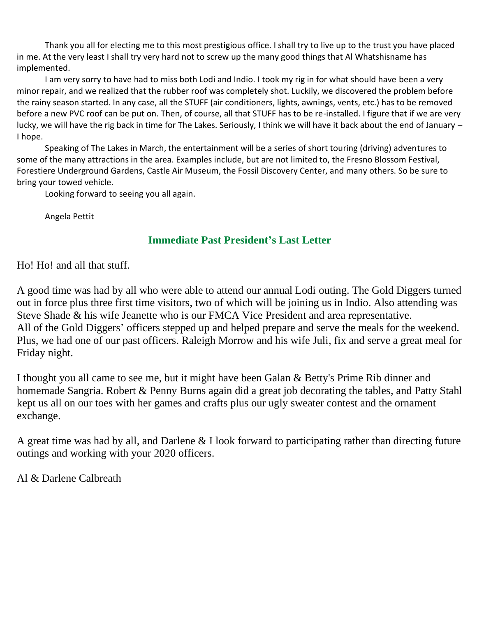Thank you all for electing me to this most prestigious office. I shall try to live up to the trust you have placed in me. At the very least I shall try very hard not to screw up the many good things that Al Whatshisname has implemented.

I am very sorry to have had to miss both Lodi and Indio. I took my rig in for what should have been a very minor repair, and we realized that the rubber roof was completely shot. Luckily, we discovered the problem before the rainy season started. In any case, all the STUFF (air conditioners, lights, awnings, vents, etc.) has to be removed before a new PVC roof can be put on. Then, of course, all that STUFF has to be re-installed. I figure that if we are very lucky, we will have the rig back in time for The Lakes. Seriously, I think we will have it back about the end of January – I hope.

Speaking of The Lakes in March, the entertainment will be a series of short touring (driving) adventures to some of the many attractions in the area. Examples include, but are not limited to, the Fresno Blossom Festival, Forestiere Underground Gardens, Castle Air Museum, the Fossil Discovery Center, and many others. So be sure to bring your towed vehicle.

Looking forward to seeing you all again.

Angela Pettit

### **Immediate Past President's Last Letter**

Ho! Ho! and all that stuff.

A good time was had by all who were able to attend our annual Lodi outing. The Gold Diggers turned out in force plus three first time visitors, two of which will be joining us in Indio. Also attending was Steve Shade & his wife Jeanette who is our FMCA Vice President and area representative. All of the Gold Diggers' officers stepped up and helped prepare and serve the meals for the weekend. Plus, we had one of our past officers. Raleigh Morrow and his wife Juli, fix and serve a great meal for Friday night.

I thought you all came to see me, but it might have been Galan & Betty's Prime Rib dinner and homemade Sangria. Robert & Penny Burns again did a great job decorating the tables, and Patty Stahl kept us all on our toes with her games and crafts plus our ugly sweater contest and the ornament exchange.

A great time was had by all, and Darlene & I look forward to participating rather than directing future outings and working with your 2020 officers.

Al & Darlene Calbreath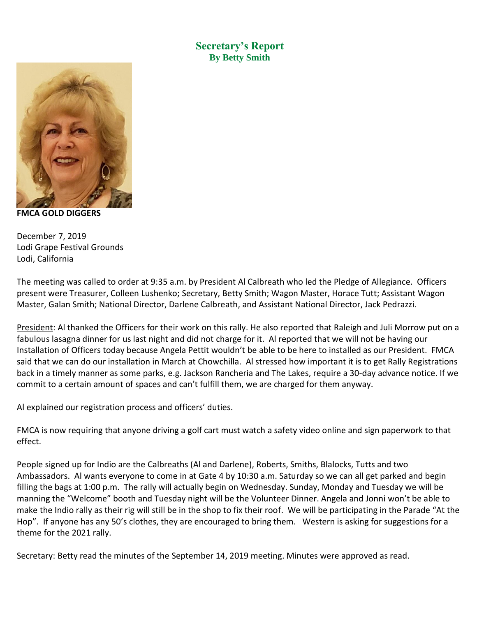**Secretary's Report By Betty Smith**



**FMCA GOLD DIGGERS** 

December 7, 2019 Lodi Grape Festival Grounds Lodi, California

The meeting was called to order at 9:35 a.m. by President Al Calbreath who led the Pledge of Allegiance. Officers present were Treasurer, Colleen Lushenko; Secretary, Betty Smith; Wagon Master, Horace Tutt; Assistant Wagon Master, Galan Smith; National Director, Darlene Calbreath, and Assistant National Director, Jack Pedrazzi.

President: Al thanked the Officers for their work on this rally. He also reported that Raleigh and Juli Morrow put on a fabulous lasagna dinner for us last night and did not charge for it. Al reported that we will not be having our Installation of Officers today because Angela Pettit wouldn't be able to be here to installed as our President. FMCA said that we can do our installation in March at Chowchilla. Al stressed how important it is to get Rally Registrations back in a timely manner as some parks, e.g. Jackson Rancheria and The Lakes, require a 30-day advance notice. If we commit to a certain amount of spaces and can't fulfill them, we are charged for them anyway.

Al explained our registration process and officers' duties.

FMCA is now requiring that anyone driving a golf cart must watch a safety video online and sign paperwork to that effect.

People signed up for Indio are the Calbreaths (Al and Darlene), Roberts, Smiths, Blalocks, Tutts and two Ambassadors. Al wants everyone to come in at Gate 4 by 10:30 a.m. Saturday so we can all get parked and begin filling the bags at 1:00 p.m. The rally will actually begin on Wednesday. Sunday, Monday and Tuesday we will be manning the "Welcome" booth and Tuesday night will be the Volunteer Dinner. Angela and Jonni won't be able to make the Indio rally as their rig will still be in the shop to fix their roof. We will be participating in the Parade "At the Hop". If anyone has any 50's clothes, they are encouraged to bring them. Western is asking for suggestions for a theme for the 2021 rally.

Secretary: Betty read the minutes of the September 14, 2019 meeting. Minutes were approved as read.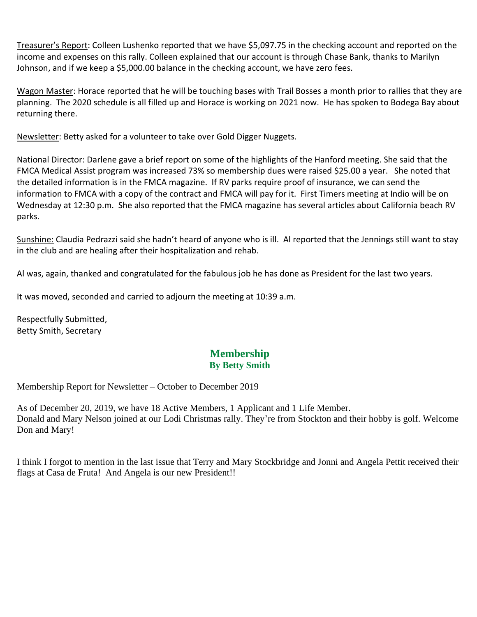Treasurer's Report: Colleen Lushenko reported that we have \$5,097.75 in the checking account and reported on the income and expenses on this rally. Colleen explained that our account is through Chase Bank, thanks to Marilyn Johnson, and if we keep a \$5,000.00 balance in the checking account, we have zero fees.

Wagon Master: Horace reported that he will be touching bases with Trail Bosses a month prior to rallies that they are planning. The 2020 schedule is all filled up and Horace is working on 2021 now. He has spoken to Bodega Bay about returning there.

Newsletter: Betty asked for a volunteer to take over Gold Digger Nuggets.

National Director: Darlene gave a brief report on some of the highlights of the Hanford meeting. She said that the FMCA Medical Assist program was increased 73% so membership dues were raised \$25.00 a year. She noted that the detailed information is in the FMCA magazine. If RV parks require proof of insurance, we can send the information to FMCA with a copy of the contract and FMCA will pay for it. First Timers meeting at Indio will be on Wednesday at 12:30 p.m. She also reported that the FMCA magazine has several articles about California beach RV parks.

Sunshine: Claudia Pedrazzi said she hadn't heard of anyone who is ill. Al reported that the Jennings still want to stay in the club and are healing after their hospitalization and rehab.

Al was, again, thanked and congratulated for the fabulous job he has done as President for the last two years.

It was moved, seconded and carried to adjourn the meeting at 10:39 a.m.

Respectfully Submitted, Betty Smith, Secretary

### **Membership By Betty Smith**

#### Membership Report for Newsletter – October to December 2019

As of December 20, 2019, we have 18 Active Members, 1 Applicant and 1 Life Member. Donald and Mary Nelson joined at our Lodi Christmas rally. They're from Stockton and their hobby is golf. Welcome Don and Mary!

I think I forgot to mention in the last issue that Terry and Mary Stockbridge and Jonni and Angela Pettit received their flags at Casa de Fruta! And Angela is our new President!!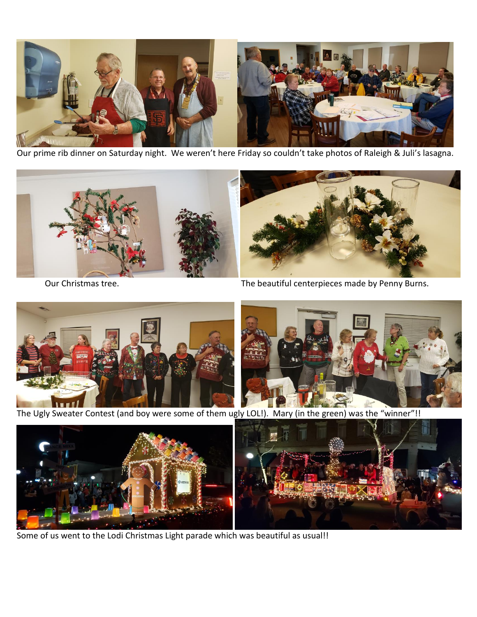

Our prime rib dinner on Saturday night. We weren't here Friday so couldn't take photos of Raleigh & Juli's lasagna.



Our Christmas tree. The beautiful centerpieces made by Penny Burns.



The Ugly Sweater Contest (and boy were some of them ugly LOL!). Mary (in the green) was the "winner"!!



Some of us went to the Lodi Christmas Light parade which was beautiful as usual!!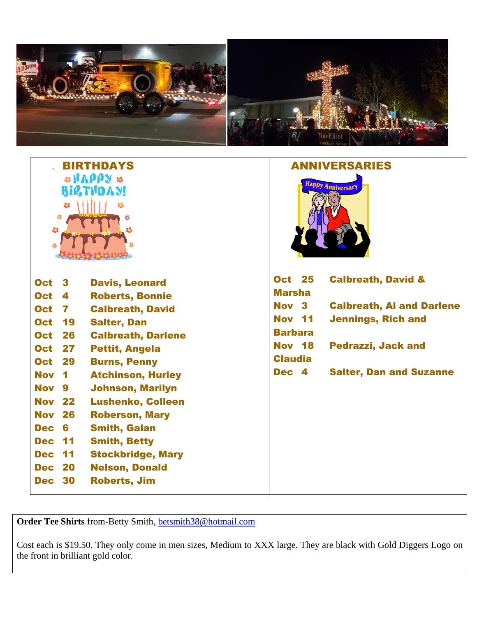

|                                                                              | <b>BIRTHDAYS</b>          | <b>ANNIVERSARIES</b>                           |
|------------------------------------------------------------------------------|---------------------------|------------------------------------------------|
| $*HAPP$ $*$<br><b>BIRTHDAY!</b><br>$\mathbf{a}$<br>48<br>$\frac{24}{3}$<br>4 |                           | Happy AnniversarY                              |
| <b>Oct</b><br>$\mathbf{3}$                                                   | <b>Davis, Leonard</b>     | <b>Oct 25</b><br><b>Calbreath, David &amp;</b> |
| <b>Oct</b><br>$\overline{\mathbf{4}}$                                        | <b>Roberts, Bonnie</b>    | <b>Marsha</b>                                  |
| <b>Oct</b><br>7                                                              | <b>Calbreath, David</b>   | Nov 3<br><b>Calbreath, AI and Darlene</b>      |
| 19<br><b>Oct</b>                                                             | <b>Salter, Dan</b>        | <b>Nov 11</b><br><b>Jennings, Rich and</b>     |
| <b>Oct</b><br>26                                                             | <b>Calbreath, Darlene</b> | <b>Barbara</b>                                 |
| 27<br><b>Oct</b>                                                             | <b>Pettit, Angela</b>     | <b>Nov 18</b><br><b>Pedrazzi, Jack and</b>     |
| <b>Oct</b><br>29                                                             | <b>Burns, Penny</b>       | <b>Claudia</b>                                 |
| <b>Nov</b><br>$\blacksquare$                                                 | <b>Atchinson, Hurley</b>  | <b>Salter, Dan and Suzanne</b><br>Dec 4        |
| <b>Nov</b><br>9                                                              | <b>Johnson, Marilyn</b>   |                                                |
| <b>Nov</b><br>22                                                             | <b>Lushenko, Colleen</b>  |                                                |
| <b>Nov</b><br>26                                                             | <b>Roberson, Mary</b>     |                                                |
| 6<br><b>Dec</b>                                                              | <b>Smith, Galan</b>       |                                                |
| 11<br><b>Dec</b>                                                             | <b>Smith, Betty</b>       |                                                |
| 11<br><b>Dec</b>                                                             | <b>Stockbridge, Mary</b>  |                                                |
| 20<br><b>Dec</b>                                                             | <b>Nelson, Donald</b>     |                                                |
| <b>Dec 30</b>                                                                | <b>Roberts, Jim</b>       |                                                |

**Order Tee Shirts** from-Betty Smith, [betsmith38@hotmail.com](mailto:betsmith38@hotmail.com)

Cost each is \$19.50. They only come in men sizes, Medium to XXX large. They are black with Gold Diggers Logo on the front in brilliant gold color.